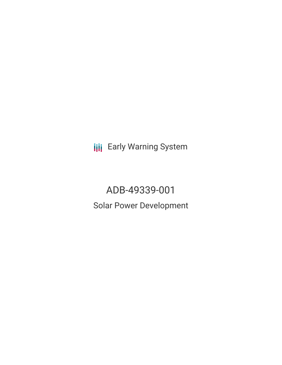**III** Early Warning System

ADB-49339-001 Solar Power Development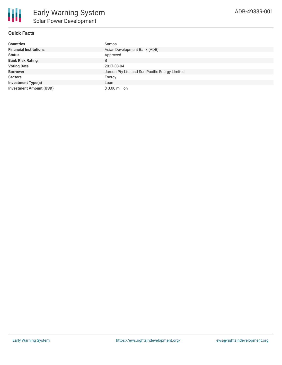## **Quick Facts**

| <b>Countries</b>               | Samoa                                          |
|--------------------------------|------------------------------------------------|
| <b>Financial Institutions</b>  | Asian Development Bank (ADB)                   |
| <b>Status</b>                  | Approved                                       |
| <b>Bank Risk Rating</b>        | B                                              |
| <b>Voting Date</b>             | 2017-08-04                                     |
| <b>Borrower</b>                | Jarcon Pty Ltd. and Sun Pacific Energy Limited |
| <b>Sectors</b>                 | Energy                                         |
| <b>Investment Type(s)</b>      | Loan                                           |
| <b>Investment Amount (USD)</b> | \$3.00 million                                 |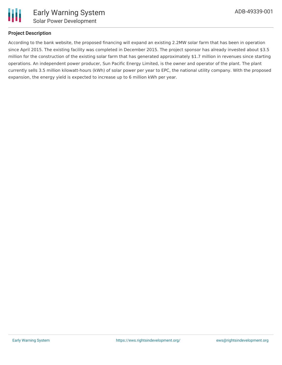

## **Project Description**

According to the bank website, the proposed financing will expand an existing 2.2MW solar farm that has been in operation since April 2015. The existing facility was completed in December 2015. The project sponsor has already invested about \$3.5 million for the construction of the existing solar farm that has generated approximately \$1.7 million in revenues since starting operations. An independent power producer, Sun Pacific Energy Limited, is the owner and operator of the plant. The plant currently sells 3.5 million kilowatt-hours (kWh) of solar power per year to EPC, the national utility company. With the proposed expansion, the energy yield is expected to increase up to 6 million kWh per year.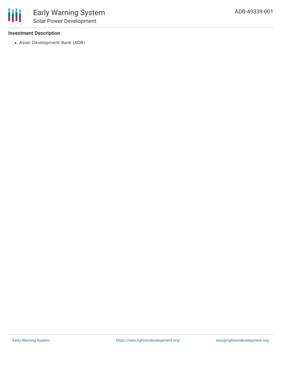# **Investment Description**

冊

Asian Development Bank (ADB)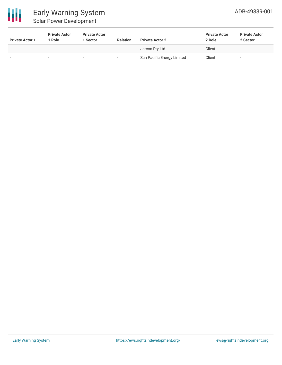

| <b>Private Actor 1</b> | <b>Private Actor</b><br>1 Role | <b>Private Actor</b><br>1 Sector | <b>Relation</b>          | <b>Private Actor 2</b>     | <b>Private Actor</b><br>2 Role | <b>Private Actor</b><br>2 Sector |  |
|------------------------|--------------------------------|----------------------------------|--------------------------|----------------------------|--------------------------------|----------------------------------|--|
|                        | $\overline{\phantom{a}}$       | $\sim$                           | $\overline{\phantom{a}}$ | Jarcon Pty Ltd.            | Client                         | $\overline{\phantom{a}}$         |  |
|                        |                                | -                                |                          | Sun Pacific Energy Limited | Client                         |                                  |  |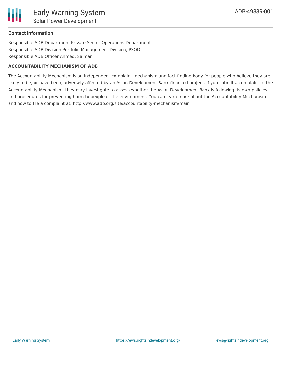

## **Contact Information**

Responsible ADB Department Private Sector Operations Department Responsible ADB Division Portfolio Management Division, PSOD Responsible ADB Officer Ahmed, Salman

#### **ACCOUNTABILITY MECHANISM OF ADB**

The Accountability Mechanism is an independent complaint mechanism and fact-finding body for people who believe they are likely to be, or have been, adversely affected by an Asian Development Bank-financed project. If you submit a complaint to the Accountability Mechanism, they may investigate to assess whether the Asian Development Bank is following its own policies and procedures for preventing harm to people or the environment. You can learn more about the Accountability Mechanism and how to file a complaint at: http://www.adb.org/site/accountability-mechanism/main